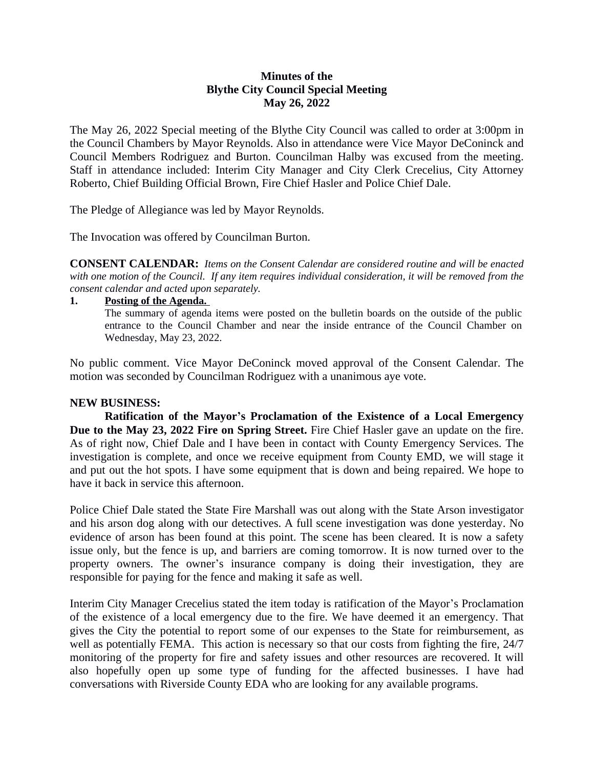# **Minutes of the Blythe City Council Special Meeting May 26, 2022**

The May 26, 2022 Special meeting of the Blythe City Council was called to order at 3:00pm in the Council Chambers by Mayor Reynolds. Also in attendance were Vice Mayor DeConinck and Council Members Rodriguez and Burton. Councilman Halby was excused from the meeting. Staff in attendance included: Interim City Manager and City Clerk Crecelius, City Attorney Roberto, Chief Building Official Brown, Fire Chief Hasler and Police Chief Dale.

The Pledge of Allegiance was led by Mayor Reynolds.

The Invocation was offered by Councilman Burton.

**CONSENT CALENDAR:** *Items on the Consent Calendar are considered routine and will be enacted* with one motion of the Council. If any item requires individual consideration, it will be removed from the *consent calendar and acted upon separately.*

**1. Posting of the Agenda.** 

The summary of agenda items were posted on the bulletin boards on the outside of the public entrance to the Council Chamber and near the inside entrance of the Council Chamber on Wednesday, May 23, 2022.

No public comment. Vice Mayor DeConinck moved approval of the Consent Calendar. The motion was seconded by Councilman Rodriguez with a unanimous aye vote.

#### **NEW BUSINESS:**

**Ratification of the Mayor's Proclamation of the Existence of a Local Emergency Due to the May 23, 2022 Fire on Spring Street.** Fire Chief Hasler gave an update on the fire. As of right now, Chief Dale and I have been in contact with County Emergency Services. The investigation is complete, and once we receive equipment from County EMD, we will stage it and put out the hot spots. I have some equipment that is down and being repaired. We hope to have it back in service this afternoon.

Police Chief Dale stated the State Fire Marshall was out along with the State Arson investigator and his arson dog along with our detectives. A full scene investigation was done yesterday. No evidence of arson has been found at this point. The scene has been cleared. It is now a safety issue only, but the fence is up, and barriers are coming tomorrow. It is now turned over to the property owners. The owner's insurance company is doing their investigation, they are responsible for paying for the fence and making it safe as well.

Interim City Manager Crecelius stated the item today is ratification of the Mayor's Proclamation of the existence of a local emergency due to the fire. We have deemed it an emergency. That gives the City the potential to report some of our expenses to the State for reimbursement, as well as potentially FEMA. This action is necessary so that our costs from fighting the fire, 24/7 monitoring of the property for fire and safety issues and other resources are recovered. It will also hopefully open up some type of funding for the affected businesses. I have had conversations with Riverside County EDA who are looking for any available programs.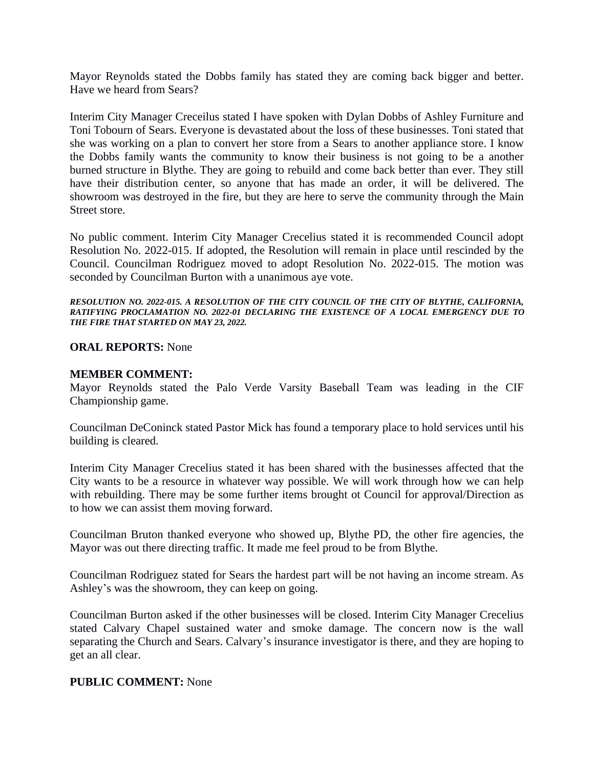Mayor Reynolds stated the Dobbs family has stated they are coming back bigger and better. Have we heard from Sears?

Interim City Manager Creceilus stated I have spoken with Dylan Dobbs of Ashley Furniture and Toni Tobourn of Sears. Everyone is devastated about the loss of these businesses. Toni stated that she was working on a plan to convert her store from a Sears to another appliance store. I know the Dobbs family wants the community to know their business is not going to be a another burned structure in Blythe. They are going to rebuild and come back better than ever. They still have their distribution center, so anyone that has made an order, it will be delivered. The showroom was destroyed in the fire, but they are here to serve the community through the Main Street store.

No public comment. Interim City Manager Crecelius stated it is recommended Council adopt Resolution No. 2022-015. If adopted, the Resolution will remain in place until rescinded by the Council. Councilman Rodriguez moved to adopt Resolution No. 2022-015. The motion was seconded by Councilman Burton with a unanimous aye vote.

#### *RESOLUTION NO. 2022-015. A RESOLUTION OF THE CITY COUNCIL OF THE CITY OF BLYTHE, CALIFORNIA, RATIFYING PROCLAMATION NO. 2022-01 DECLARING THE EXISTENCE OF A LOCAL EMERGENCY DUE TO THE FIRE THAT STARTED ON MAY 23, 2022.*

# **ORAL REPORTS:** None

## **MEMBER COMMENT:**

Mayor Reynolds stated the Palo Verde Varsity Baseball Team was leading in the CIF Championship game.

Councilman DeConinck stated Pastor Mick has found a temporary place to hold services until his building is cleared.

Interim City Manager Crecelius stated it has been shared with the businesses affected that the City wants to be a resource in whatever way possible. We will work through how we can help with rebuilding. There may be some further items brought ot Council for approval/Direction as to how we can assist them moving forward.

Councilman Bruton thanked everyone who showed up, Blythe PD, the other fire agencies, the Mayor was out there directing traffic. It made me feel proud to be from Blythe.

Councilman Rodriguez stated for Sears the hardest part will be not having an income stream. As Ashley's was the showroom, they can keep on going.

Councilman Burton asked if the other businesses will be closed. Interim City Manager Crecelius stated Calvary Chapel sustained water and smoke damage. The concern now is the wall separating the Church and Sears. Calvary's insurance investigator is there, and they are hoping to get an all clear.

### **PUBLIC COMMENT:** None